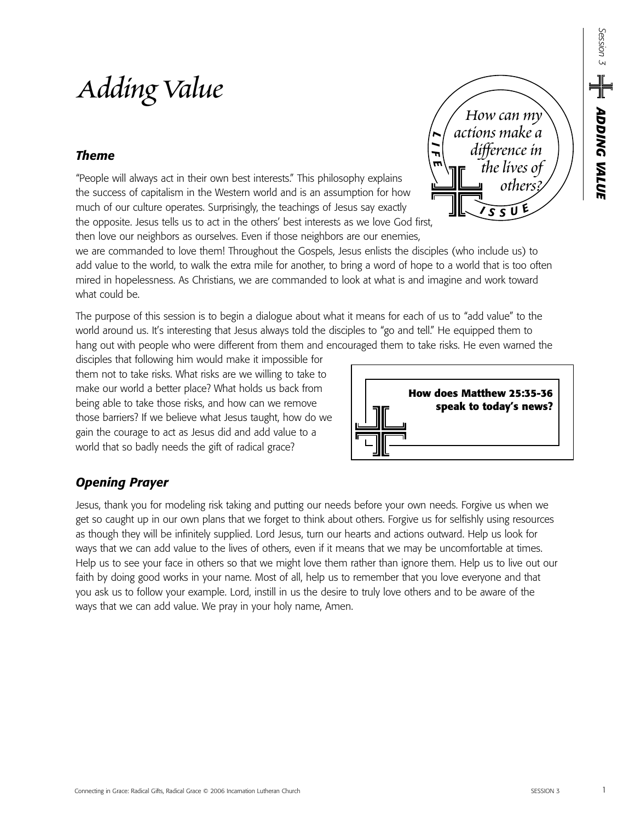# *Adding Value*

## *Theme*

"People will always act in their own best interests." This philosophy explains the success of capitalism in the Western world and is an assumption for how much of our culture operates. Surprisingly, the teachings of Jesus say exactly the opposite. Jesus tells us to act in the others' best interests as we love God first, then love our neighbors as ourselves. Even if those neighbors are our enemies,

we are commanded to love them! Throughout the Gospels, Jesus enlists the disciples (who include us) to add value to the world, to walk the extra mile for another, to bring a word of hope to a world that is too often mired in hopelessness. As Christians, we are commanded to look at what is and imagine and work toward what could be

The purpose of this session is to begin a dialogue about what it means for each of us to "add value" to the world around us. It's interesting that Jesus always told the disciples to "go and tell." He equipped them to hang out with people who were different from them and encouraged them to take risks. He even warned the

disciples that following him would make it impossible for them not to take risks. What risks are we willing to take to make our world a better place? What holds us back from being able to take those risks, and how can we remove those barriers? If we believe what Jesus taught, how do we gain the courage to act as Jesus did and add value to a world that so badly needs the gift of radical grace?



*L I F E*

*<sup>I</sup> <sup>S</sup> <sup>S</sup> <sup>U</sup> E*

*How can my actions make a difference in the lives of others?*

## *Opening Prayer*

Jesus, thank you for modeling risk taking and putting our needs before your own needs. Forgive us when we get so caught up in our own plans that we forget to think about others. Forgive us for selfishly using resources as though they will be infinitely supplied. Lord Jesus, turn our hearts and actions outward. Help us look for ways that we can add value to the lives of others, even if it means that we may be uncomfortable at times. Help us to see your face in others so that we might love them rather than ignore them. Help us to live out our faith by doing good works in your name. Most of all, help us to remember that you love everyone and that you ask us to follow your example. Lord, instill in us the desire to truly love others and to be aware of the ways that we can add value. We pray in your holy name, Amen.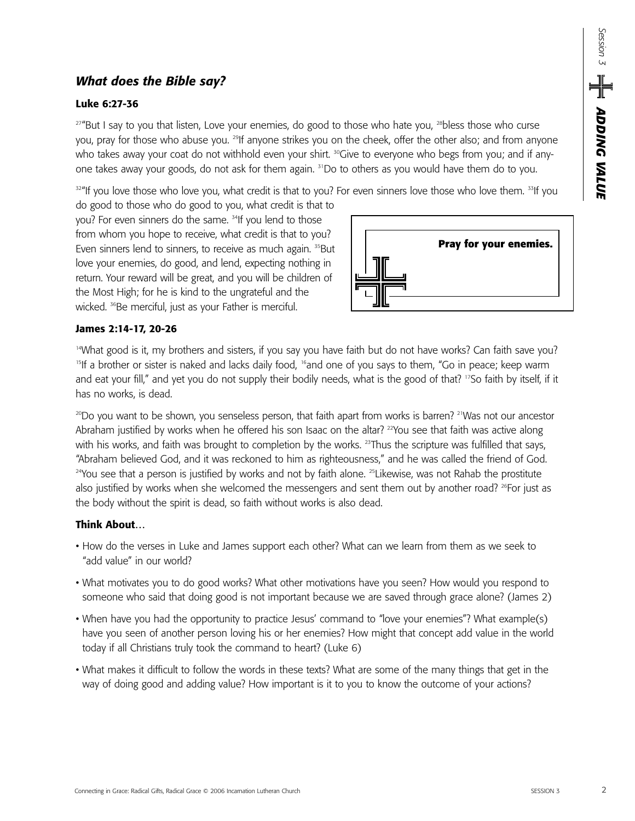## *What does the Bible say?*

#### **Luke 6:27-36**

<sup>27"</sup>But I say to you that listen, Love your enemies, do good to those who hate you, <sup>28</sup>bless those who curse you, pray for those who abuse you. <sup>29</sup>If anyone strikes you on the cheek, offer the other also; and from anyone who takes away your coat do not withhold even your shirt. <sup>30</sup>Give to everyone who begs from you; and if anyone takes away your goods, do not ask for them again. 31Do to others as you would have them do to you.

 $32$ "If you love those who love you, what credit is that to you? For even sinners love those who love them.  $33$ If you

do good to those who do good to you, what credit is that to you? For even sinners do the same. <sup>34</sup>If you lend to those from whom you hope to receive, what credit is that to you? Even sinners lend to sinners, to receive as much again. <sup>35</sup>But love your enemies, do good, and lend, expecting nothing in return. Your reward will be great, and you will be children of the Most High; for he is kind to the ungrateful and the wicked. <sup>36</sup>Be merciful, just as your Father is merciful.



#### **James 2:14-17, 20-26**

<sup>14</sup>What good is it, my brothers and sisters, if you say you have faith but do not have works? Can faith save you? <sup>15</sup>If a brother or sister is naked and lacks daily food, <sup>16</sup>and one of you says to them, "Go in peace; keep warm and eat your fill," and yet you do not supply their bodily needs, what is the good of that? <sup>17</sup>So faith by itself, if it has no works, is dead.

 $^{20}$ Do you want to be shown, you senseless person, that faith apart from works is barren? <sup>21</sup>Was not our ancestor Abraham justified by works when he offered his son Isaac on the altar? 22You see that faith was active along with his works, and faith was brought to completion by the works. <sup>23</sup>Thus the scripture was fulfilled that says, "Abraham believed God, and it was reckoned to him as righteousness," and he was called the friend of God. <sup>24</sup>You see that a person is justified by works and not by faith alone. <sup>25</sup>Likewise, was not Rahab the prostitute also justified by works when she welcomed the messengers and sent them out by another road? <sup>26</sup>For just as the body without the spirit is dead, so faith without works is also dead.

### **Think About…**

- How do the verses in Luke and James support each other? What can we learn from them as we seek to "add value" in our world?
- What motivates you to do good works? What other motivations have you seen? How would you respond to someone who said that doing good is not important because we are saved through grace alone? (James 2)
- When have you had the opportunity to practice Jesus' command to "love your enemies"? What example(s) have you seen of another person loving his or her enemies? How might that concept add value in the world today if all Christians truly took the command to heart? (Luke 6)
- What makes it difficult to follow the words in these texts? What are some of the many things that get in the way of doing good and adding value? How important is it to you to know the outcome of your actions?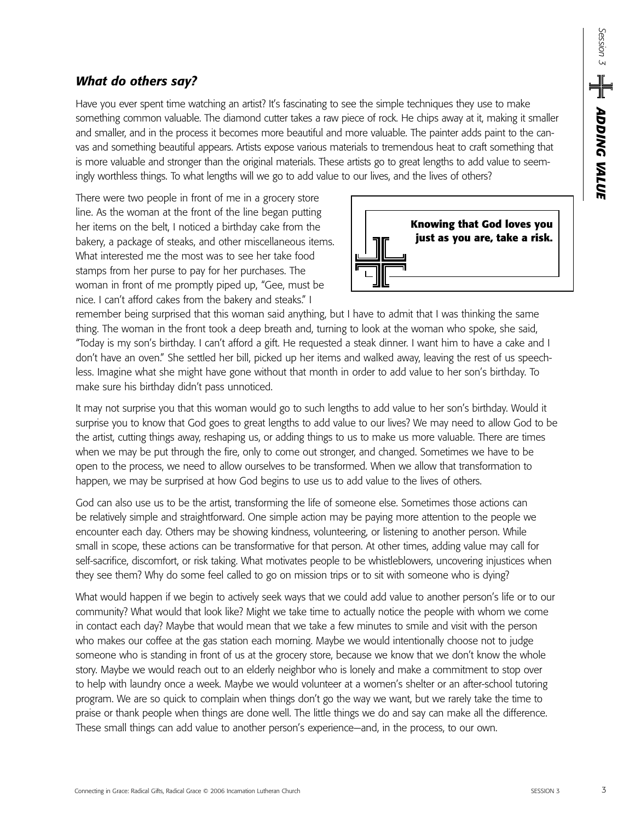## *What do others say?*

Have you ever spent time watching an artist? It's fascinating to see the simple techniques they use to make something common valuable. The diamond cutter takes a raw piece of rock. He chips away at it, making it smaller and smaller, and in the process it becomes more beautiful and more valuable. The painter adds paint to the canvas and something beautiful appears. Artists expose various materials to tremendous heat to craft something that is more valuable and stronger than the original materials. These artists go to great lengths to add value to seemingly worthless things. To what lengths will we go to add value to our lives, and the lives of others?

There were two people in front of me in a grocery store line. As the woman at the front of the line began putting her items on the belt, I noticed a birthday cake from the bakery, a package of steaks, and other miscellaneous items. What interested me the most was to see her take food stamps from her purse to pay for her purchases. The woman in front of me promptly piped up, "Gee, must be nice. I can't afford cakes from the bakery and steaks." I



remember being surprised that this woman said anything, but I have to admit that I was thinking the same thing. The woman in the front took a deep breath and, turning to look at the woman who spoke, she said, "Today is my son's birthday. I can't afford a gift. He requested a steak dinner. I want him to have a cake and I don't have an oven." She settled her bill, picked up her items and walked away, leaving the rest of us speechless. Imagine what she might have gone without that month in order to add value to her son's birthday. To make sure his birthday didn't pass unnoticed.

It may not surprise you that this woman would go to such lengths to add value to her son's birthday. Would it surprise you to know that God goes to great lengths to add value to our lives? We may need to allow God to be the artist, cutting things away, reshaping us, or adding things to us to make us more valuable. There are times when we may be put through the fire, only to come out stronger, and changed. Sometimes we have to be open to the process, we need to allow ourselves to be transformed. When we allow that transformation to happen, we may be surprised at how God begins to use us to add value to the lives of others.

God can also use us to be the artist, transforming the life of someone else. Sometimes those actions can be relatively simple and straightforward. One simple action may be paying more attention to the people we encounter each day. Others may be showing kindness, volunteering, or listening to another person. While small in scope, these actions can be transformative for that person. At other times, adding value may call for self-sacrifice, discomfort, or risk taking. What motivates people to be whistleblowers, uncovering injustices when they see them? Why do some feel called to go on mission trips or to sit with someone who is dying?

What would happen if we begin to actively seek ways that we could add value to another person's life or to our community? What would that look like? Might we take time to actually notice the people with whom we come in contact each day? Maybe that would mean that we take a few minutes to smile and visit with the person who makes our coffee at the gas station each morning. Maybe we would intentionally choose not to judge someone who is standing in front of us at the grocery store, because we know that we don't know the whole story. Maybe we would reach out to an elderly neighbor who is lonely and make a commitment to stop over to help with laundry once a week. Maybe we would volunteer at a women's shelter or an after-school tutoring program. We are so quick to complain when things don't go the way we want, but we rarely take the time to praise or thank people when things are done well. The little things we do and say can make all the difference. These small things can add value to another person's experience—and, in the process, to our own.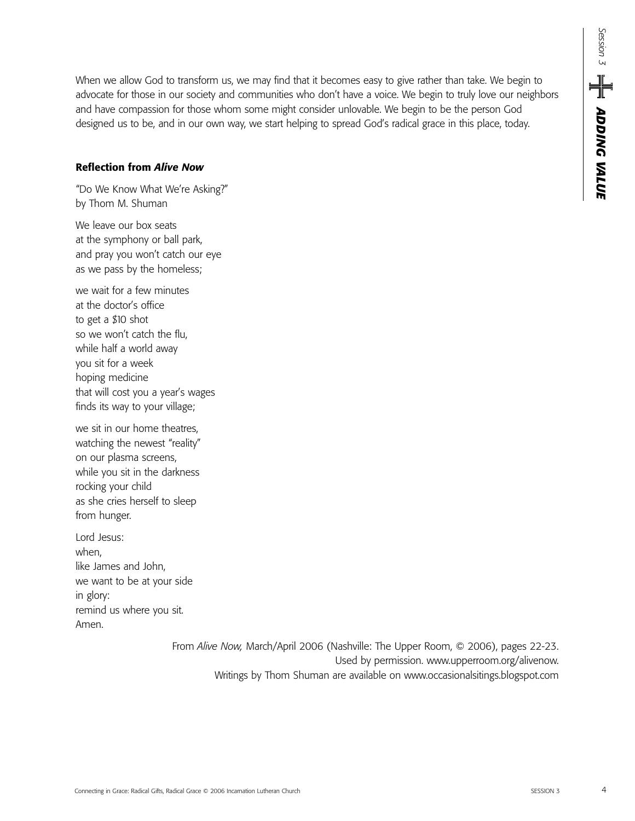*ADDING VALUE Session 3*  $\mathbb{E} \left[ \bigcup_{\mathcal{S} \in \mathbb{R}^{1 \times 3}} \mathbf{A} \mathbf{D} \mathbf{D} \mathbf{M} \mathbf{C} \mathbf{M} \mathbf{L} \mathbf{M} \mathbf{L} \mathbf{M} \right]$ 

When we allow God to transform us, we may find that it becomes easy to give rather than take. We begin to advocate for those in our society and communities who don't have a voice. We begin to truly love our neighbors and have compassion for those whom some might consider unlovable. We begin to be the person God designed us to be, and in our own way, we start helping to spread God's radical grace in this place, today.

#### **Reflection from** *Alive Now*

"Do We Know What We're Asking?" by Thom M. Shuman

We leave our box seats at the symphony or ball park, and pray you won't catch our eye as we pass by the homeless;

we wait for a few minutes at the doctor's office to get a \$10 shot so we won't catch the flu, while half a world away you sit for a week hoping medicine that will cost you a year's wages finds its way to your village;

we sit in our home theatres, watching the newest "reality" on our plasma screens, while you sit in the darkness rocking your child as she cries herself to sleep from hunger.

Lord Jesus: when, like James and John, we want to be at your side in glory: remind us where you sit. Amen.

> From *Alive Now,* March/April 2006 (Nashville: The Upper Room, © 2006), pages 22-23. Used by permission. www.upperroom.org/alivenow. Writings by Thom Shuman are available on www.occasionalsitings.blogspot.com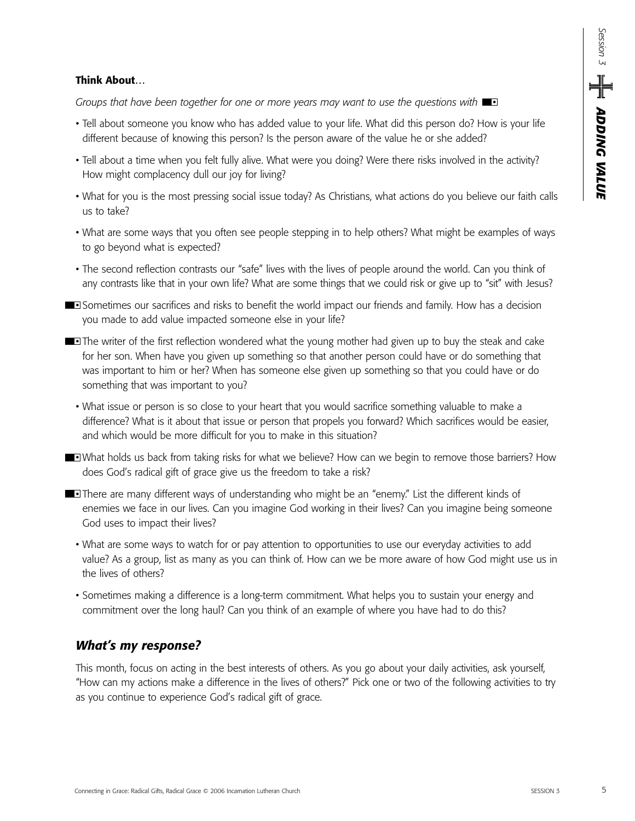#### **Think About…**

*Groups that have been together for one or more years may want to use the questions with* 

- Tell about someone you know who has added value to your life. What did this person do? How is your life different because of knowing this person? Is the person aware of the value he or she added?
- Tell about a time when you felt fully alive. What were you doing? Were there risks involved in the activity? How might complacency dull our joy for living?
- What for you is the most pressing social issue today? As Christians, what actions do you believe our faith calls us to take?
- What are some ways that you often see people stepping in to help others? What might be examples of ways to go beyond what is expected?
- The second reflection contrasts our "safe" lives with the lives of people around the world. Can you think of any contrasts like that in your own life? What are some things that we could risk or give up to "sit" with Jesus?
- **Sometimes our sacrifices and risks to benefit the world impact our friends and family. How has a decision** you made to add value impacted someone else in your life?
- **The writer of the first reflection wondered what the young mother had given up to buy the steak and cake** for her son. When have you given up something so that another person could have or do something that was important to him or her? When has someone else given up something so that you could have or do something that was important to you?
	- What issue or person is so close to your heart that you would sacrifice something valuable to make a difference? What is it about that issue or person that propels you forward? Which sacrifices would be easier, and which would be more difficult for you to make in this situation?
- What holds us back from taking risks for what we believe? How can we begin to remove those barriers? How does God's radical gift of grace give us the freedom to take a risk?
- **There are many different ways of understanding who might be an "enemy." List the different kinds of** enemies we face in our lives. Can you imagine God working in their lives? Can you imagine being someone God uses to impact their lives?
	- What are some ways to watch for or pay attention to opportunities to use our everyday activities to add value? As a group, list as many as you can think of. How can we be more aware of how God might use us in the lives of others?
	- Sometimes making a difference is a long-term commitment. What helps you to sustain your energy and commitment over the long haul? Can you think of an example of where you have had to do this?

## *What's my response?*

This month, focus on acting in the best interests of others. As you go about your daily activities, ask yourself, "How can my actions make a difference in the lives of others?" Pick one or two of the following activities to try as you continue to experience God's radical gift of grace.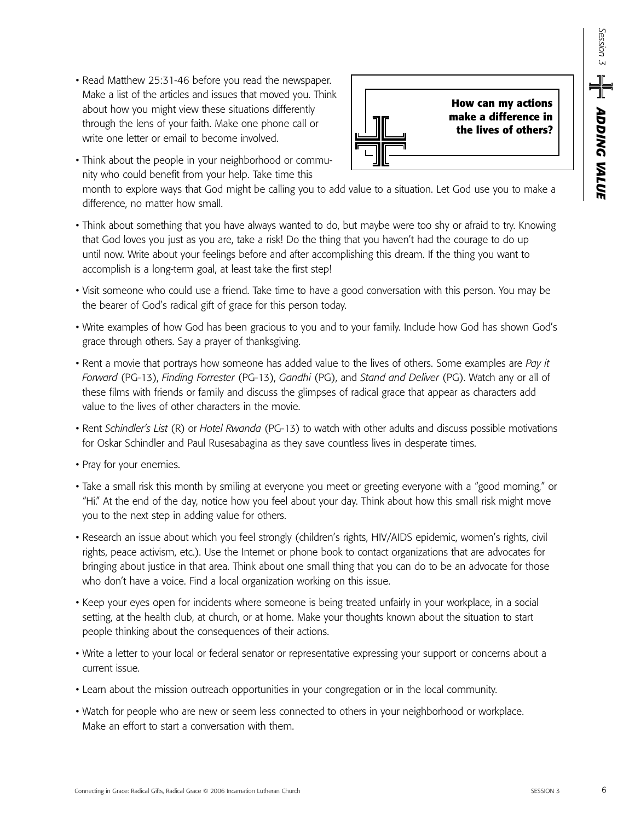• Read Matthew 25:31-46 before you read the newspaper. Make a list of the articles and issues that moved you. Think about how you might view these situations differently through the lens of your faith. Make one phone call or write one letter or email to become involved.



• Think about the people in your neighborhood or community who could benefit from your help. Take time this

month to explore ways that God might be calling you to add value to a situation. Let God use you to make a difference, no matter how small.

- Think about something that you have always wanted to do, but maybe were too shy or afraid to try. Knowing that God loves you just as you are, take a risk! Do the thing that you haven't had the courage to do up until now. Write about your feelings before and after accomplishing this dream. If the thing you want to accomplish is a long-term goal, at least take the first step!
- Visit someone who could use a friend. Take time to have a good conversation with this person. You may be the bearer of God's radical gift of grace for this person today.
- Write examples of how God has been gracious to you and to your family. Include how God has shown God's grace through others. Say a prayer of thanksgiving.
- Rent a movie that portrays how someone has added value to the lives of others. Some examples are *Pay it Forward* (PG-13), *Finding Forrester* (PG-13), *Gandhi* (PG), and *Stand and Deliver* (PG). Watch any or all of these films with friends or family and discuss the glimpses of radical grace that appear as characters add value to the lives of other characters in the movie.
- Rent *Schindler's List* (R) or *Hotel Rwanda* (PG-13) to watch with other adults and discuss possible motivations for Oskar Schindler and Paul Rusesabagina as they save countless lives in desperate times.
- Pray for your enemies.
- Take a small risk this month by smiling at everyone you meet or greeting everyone with a "good morning," or "Hi." At the end of the day, notice how you feel about your day. Think about how this small risk might move you to the next step in adding value for others.
- Research an issue about which you feel strongly (children's rights, HIV/AIDS epidemic, women's rights, civil rights, peace activism, etc.). Use the Internet or phone book to contact organizations that are advocates for bringing about justice in that area. Think about one small thing that you can do to be an advocate for those who don't have a voice. Find a local organization working on this issue.
- Keep your eyes open for incidents where someone is being treated unfairly in your workplace, in a social setting, at the health club, at church, or at home. Make your thoughts known about the situation to start people thinking about the consequences of their actions.
- Write a letter to your local or federal senator or representative expressing your support or concerns about a current issue.
- Learn about the mission outreach opportunities in your congregation or in the local community.
- Watch for people who are new or seem less connected to others in your neighborhood or workplace. Make an effort to start a conversation with them.